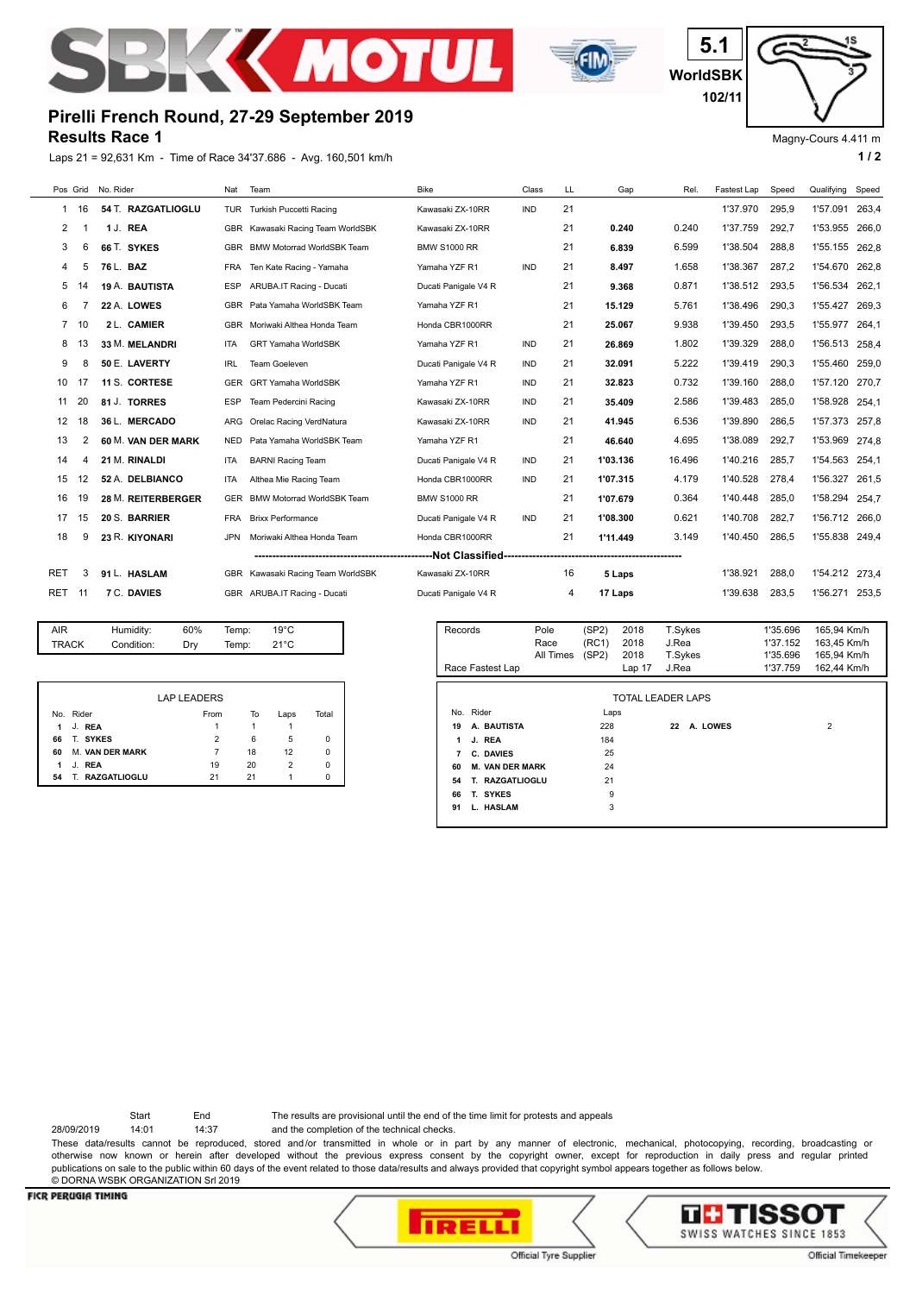



**WorldSBK 5.1 102/11**

Magny-Cours 4.411 m

c

## **Results Race 1 Pirelli French Round, 27-29 September 2019**

Laps 21 = 92,631 Km - Time of Race 34'37.686 - Avg. 160,501 km/h **1 / 2**



| AIR          | Humidity:  | 60% | Temp: | $19^{\circ}$ C |  |
|--------------|------------|-----|-------|----------------|--|
| <b>TRACK</b> | Condition: | Drv | Temp: | $21^{\circ}$ C |  |
|              |            |     |       |                |  |

|    |                        | <b>LAP LEADERS</b> |    |      |       |
|----|------------------------|--------------------|----|------|-------|
|    | No. Rider              | From               | To | Laps | Total |
| 1  | J. REA                 |                    |    |      |       |
| 66 | T. SYKES               | 2                  | 6  | 5    | 0     |
| 60 | <b>M. VAN DER MARK</b> |                    | 18 | 12   | 0     |
| 1  | J. REA                 | 19                 | 20 | 2    | 0     |
| 54 | T. RAZGATLIOGLU        | 21                 | 21 |      | n     |

| Records<br>Race Fastest Lap |                        | Pole<br>Race<br>All Times | (SP2)<br>(RC1)<br>(SP2) | 2018<br>2018<br>2018<br>Lap <sub>17</sub> | T.Sykes<br>J.Rea<br>T.Sykes<br>J.Rea |          | 1'35.696<br>1'37.152<br>1'35.696<br>1'37.759 | 165.94 Km/h<br>163,45 Km/h<br>165.94 Km/h<br>162,44 Km/h |
|-----------------------------|------------------------|---------------------------|-------------------------|-------------------------------------------|--------------------------------------|----------|----------------------------------------------|----------------------------------------------------------|
|                             |                        |                           |                         | TOTAL LEADER LAPS                         |                                      |          |                                              |                                                          |
| No. Rider                   |                        |                           | Laps                    |                                           |                                      |          |                                              |                                                          |
| 19                          | A. BAUTISTA            |                           | 228                     |                                           | 22                                   | A. LOWES |                                              | $\overline{2}$                                           |
| 1                           | J. REA                 |                           | 184                     |                                           |                                      |          |                                              |                                                          |
| 7                           | C. DAVIES              |                           | 25                      |                                           |                                      |          |                                              |                                                          |
| 60                          | <b>M. VAN DER MARK</b> |                           | 24                      |                                           |                                      |          |                                              |                                                          |
| 54                          | T. RAZGATLIOGLU        |                           | 21                      |                                           |                                      |          |                                              |                                                          |
| 66                          | T. SYKES               |                           | 9                       |                                           |                                      |          |                                              |                                                          |
| 91                          | L. HASLAM              |                           | 3                       |                                           |                                      |          |                                              |                                                          |

Start End The results are provisional until the end of the time limit for protests and appeals

28/09/2019 14:01 14:37 and the completion of the technical checks.

These data/results cannot be reproduced, stored and/or transmitted in whole or in part by any manner of electronic, mechanical, photocopying, recording, broadcasting or otherwise now known or herein after developed without the previous express consent by the copyright owner, except for reproduction in daily press and regular printed publications on sale to the public within 60 days of the event related to those data/results and always provided that copyright symbol appears together as follows below. © DORNA WSBK ORGANIZATION Srl 2019

## **FICR PERUGIA TIMING**





Official Tyre Supplier